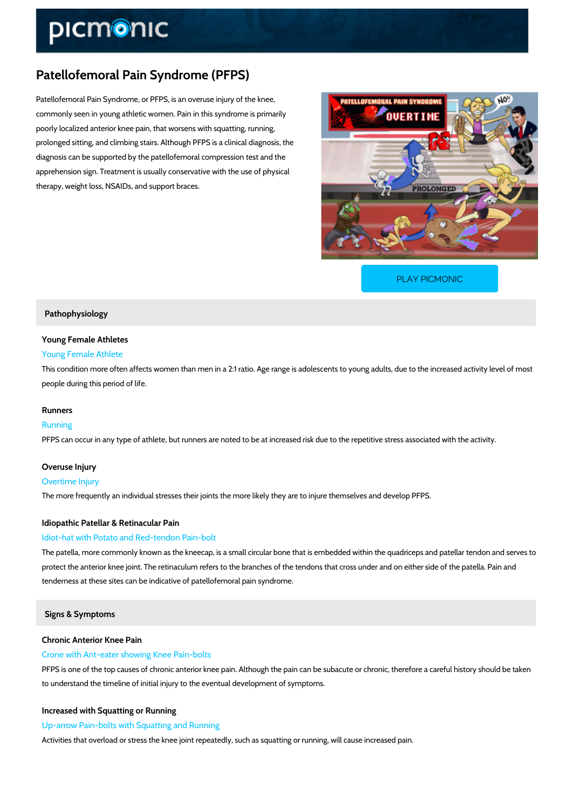# Patellofemoral Pain Syndrome (PFPS)

Patellofemoral Pain Syndrome, or PFPS, is an overuse injury of the knee, commonly seen in young athletic women. Pain in this syndrome is primarily poorly localized anterior knee pain, that worsens with squatting, running, prolonged sitting, and climbing stairs. Although PFPS is a clinical diagnosis, the diagnosis can be supported by the patellofemoral compression test and the apprehension sign. Treatment is usually conservative with the use of physical therapy, weight loss, NSAIDs, and support braces.

[PLAY PICMONIC](https://www.picmonic.com/learn/patellofemoral-pain-syndrome-pfps_5003?utm_source=downloadable_content&utm_medium=distributedcontent&utm_campaign=pathways_pdf&utm_content=Patellofemoral Pain Syndrome (PFPS)&utm_ad_group=leads&utm_market=all)

# Pathophysiology

# Young Female Athletes Young Female Athlete

This condition more often affects women than men in a 2:1 ratio. Age range is adolescents to people during this period of life.

### Runners

Running PFPS can occur in any type of athlete, but runners are noted to be at increased risk due to th

# Overuse Injury

Overtime Injury The more frequently an individual stresses their joints the more likely they are to injure them

# Idiopathic Patellar & Retinacular Pain

### Idiot-hat with Potato and Red-tendon Pain-bolt

The patella, more commonly known as the kneecap, is a small circular bone that is embedded protect the anterior knee joint. The retinaculum refers to the branches of the tendons that cro tenderness at these sites can be indicative of patellofemoral pain syndrome.

## Signs & Symptoms

Chronic Anterior Knee Pain Crone with Ant-eater showing Knee Pain-bolts PFPS is one of the top causes of chronic anterior knee pain. Although the pain can be subacu to understand the timeline of initial injury to the eventual development of symptoms.

Increased with Squatting or Running Up-arrow Pain-bolts with Squatting and Running Activities that overload or stress the knee joint repeatedly, such as squatting or running, will